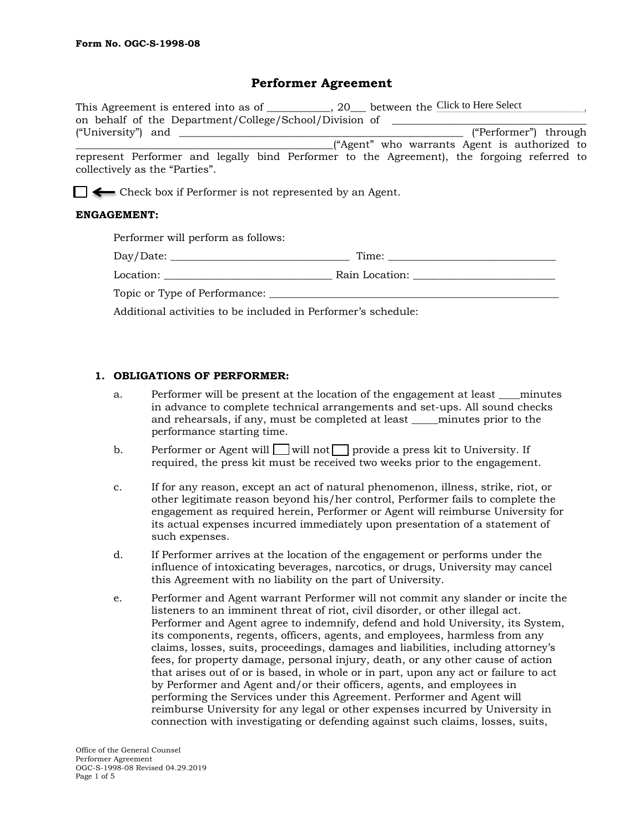## **Performer Agreement**

| This Agreement is entered into as of                                                                                         | $\sim$ , 20 between the Click to Here Select |
|------------------------------------------------------------------------------------------------------------------------------|----------------------------------------------|
| on behalf of the Department/College/School/Division of                                                                       |                                              |
| ("University") and                                                                                                           | ("Performer") through                        |
|                                                                                                                              | "Agent" who warrants Agent is authorized to  |
| represent Performer and legally bind Performer to the Agreement), the forgoing referred to<br>collectively as the "Parties". |                                              |

 $\Box \leftarrow$  Check box if Performer is not represented by an Agent.

#### **ENGAGEMENT:**

| Performer will perform as follows: |                |
|------------------------------------|----------------|
| Day/Date:                          | Time:          |
| Location:                          | Rain Location: |

Topic or Type of Performance: \_\_\_\_\_\_\_\_\_\_\_\_\_\_\_\_\_\_\_\_\_\_\_\_\_\_\_\_\_\_\_\_\_\_\_\_\_\_\_\_\_\_\_\_\_\_\_\_\_\_\_\_\_\_\_

Additional activities to be included in Performer's schedule:

#### **1. OBLIGATIONS OF PERFORMER:**

- a. Performer will be present at the location of the engagement at least \_\_\_\_minutes in advance to complete technical arrangements and set-ups. All sound checks and rehearsals, if any, must be completed at least \_\_\_\_\_minutes prior to the performance starting time.
- b. Performer or Agent will  $\Box$  will not  $\Box$  provide a press kit to University. If required, the press kit must be received two weeks prior to the engagement.
- c. If for any reason, except an act of natural phenomenon, illness, strike, riot, or other legitimate reason beyond his/her control, Performer fails to complete the engagement as required herein, Performer or Agent will reimburse University for its actual expenses incurred immediately upon presentation of a statement of such expenses.
- d. If Performer arrives at the location of the engagement or performs under the influence of intoxicating beverages, narcotics, or drugs, University may cancel this Agreement with no liability on the part of University.
- e. Performer and Agent warrant Performer will not commit any slander or incite the listeners to an imminent threat of riot, civil disorder, or other illegal act. Performer and Agent agree to indemnify, defend and hold University, its System, its components, regents, officers, agents, and employees, harmless from any claims, losses, suits, proceedings, damages and liabilities, including attorney's fees, for property damage, personal injury, death, or any other cause of action that arises out of or is based, in whole or in part, upon any act or failure to act by Performer and Agent and/or their officers, agents, and employees in performing the Services under this Agreement. Performer and Agent will reimburse University for any legal or other expenses incurred by University in connection with investigating or defending against such claims, losses, suits,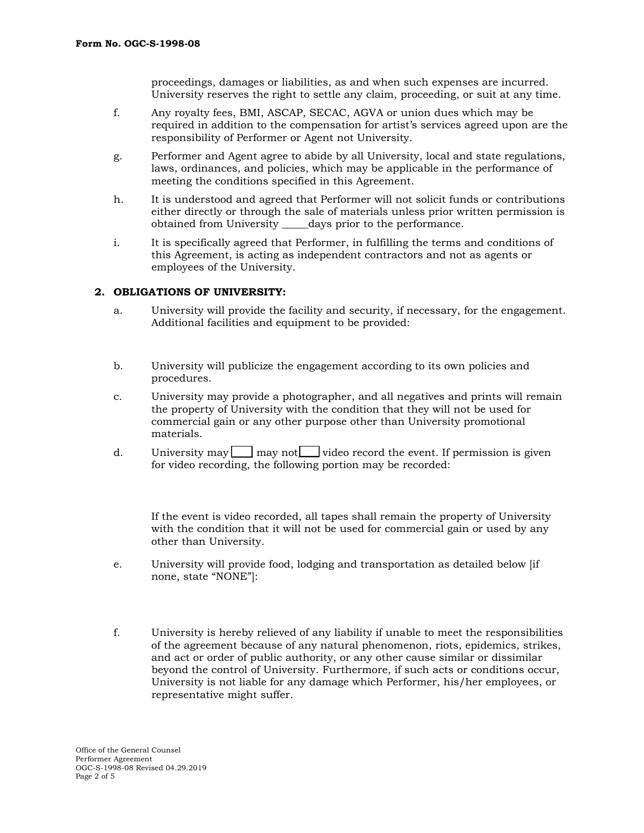proceedings, damages or liabilities, as and when such expenses are incurred. University reserves the right to settle any claim, proceeding, or suit at any time.

- f. Any royalty fees, BMI, ASCAP, SECAC, AGVA or union dues which may be required in addition to the compensation for artist's services agreed upon are the responsibility of Performer or Agent not University.
- g. Performer and Agent agree to abide by all University, local and state regulations, laws, ordinances, and policies, which may be applicable in the performance of meeting the conditions specified in this Agreement.
- h. It is understood and agreed that Performer will not solicit funds or contributions either directly or through the sale of materials unless prior written permission is obtained from University \_\_\_\_\_days prior to the performance.
- i. It is specifically agreed that Performer, in fulfilling the terms and conditions of this Agreement, is acting as independent contractors and not as agents or employees of the University.

#### **2. OBLIGATIONS OF UNIVERSITY:**

- a. University will provide the facility and security, if necessary, for the engagement. Additional facilities and equipment to be provided:
- b. University will publicize the engagement according to its own policies and procedures.
- c. University may provide a photographer, and all negatives and prints will remain the property of University with the condition that they will not be used for commercial gain or any other purpose other than University promotional materials.
- d. University may  $\Box$  may not video record the event. If permission is given for video recording, the following portion may be recorded:

If the event is video recorded, all tapes shall remain the property of University with the condition that it will not be used for commercial gain or used by any other than University.

- e. University will provide food, lodging and transportation as detailed below [if none, state "NONE"]:
- f. University is hereby relieved of any liability if unable to meet the responsibilities of the agreement because of any natural phenomenon, riots, epidemics, strikes, and act or order of public authority, or any other cause similar or dissimilar beyond the control of University. Furthermore, if such acts or conditions occur, University is not liable for any damage which Performer, his/her employees, or representative might suffer.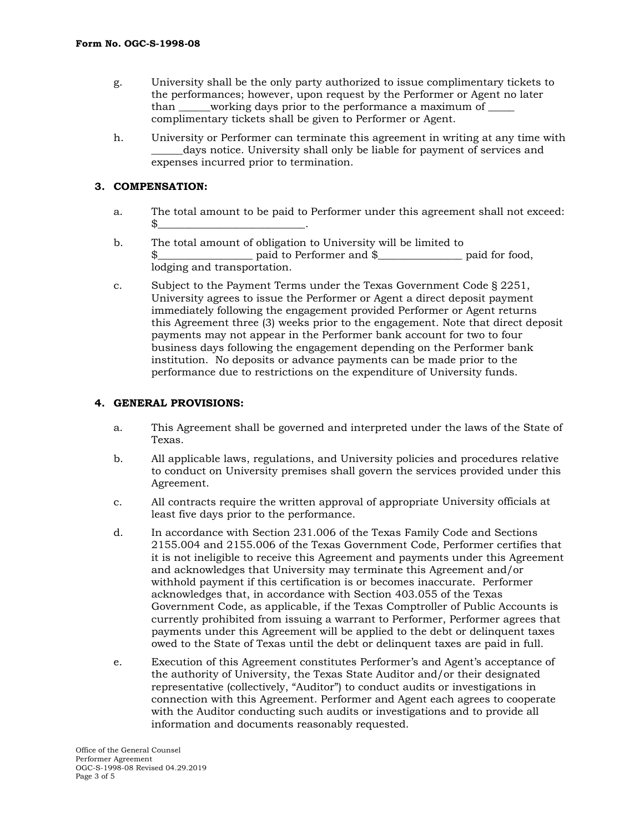- g. University shall be the only party authorized to issue complimentary tickets to the performances; however, upon request by the Performer or Agent no later than working days prior to the performance a maximum of complimentary tickets shall be given to Performer or Agent.
- h. University or Performer can terminate this agreement in writing at any time with days notice. University shall only be liable for payment of services and expenses incurred prior to termination.

### **3. COMPENSATION:**

- a. The total amount to be paid to Performer under this agreement shall not exceed: \$\_\_\_\_\_\_\_\_\_\_\_\_\_\_\_\_\_\_\_\_\_\_\_\_\_\_\_\_.
- b. The total amount of obligation to University will be limited to paid to Performer and \$\_\_\_\_\_\_\_\_\_\_\_\_\_\_\_\_ paid for food, lodging and transportation.
- c. Subject to the Payment Terms under the Texas Government Code § 2251, University agrees to issue the Performer or Agent a direct deposit payment immediately following the engagement provided Performer or Agent returns this Agreement three (3) weeks prior to the engagement. Note that direct deposit payments may not appear in the Performer bank account for two to four business days following the engagement depending on the Performer bank institution. No deposits or advance payments can be made prior to the performance due to restrictions on the expenditure of University funds.

#### **4. GENERAL PROVISIONS:**

- a. This Agreement shall be governed and interpreted under the laws of the State of Texas.
- b. All applicable laws, regulations, and University policies and procedures relative to conduct on University premises shall govern the services provided under this Agreement.
- c. All contracts require the written approval of appropriate University officials at least five days prior to the performance.
- d. In accordance with Section 231.006 of the Texas Family Code and Sections 2155.004 and 2155.006 of the Texas Government Code, Performer certifies that it is not ineligible to receive this Agreement and payments under this Agreement and acknowledges that University may terminate this Agreement and/or withhold payment if this certification is or becomes inaccurate. Performer acknowledges that, in accordance with Section 403.055 of the Texas Government Code, as applicable, if the Texas Comptroller of Public Accounts is currently prohibited from issuing a warrant to Performer, Performer agrees that payments under this Agreement will be applied to the debt or delinquent taxes owed to the State of Texas until the debt or delinquent taxes are paid in full.
- e. Execution of this Agreement constitutes Performer's and Agent's acceptance of the authority of University, the Texas State Auditor and/or their designated representative (collectively, "Auditor") to conduct audits or investigations in connection with this Agreement. Performer and Agent each agrees to cooperate with the Auditor conducting such audits or investigations and to provide all information and documents reasonably requested.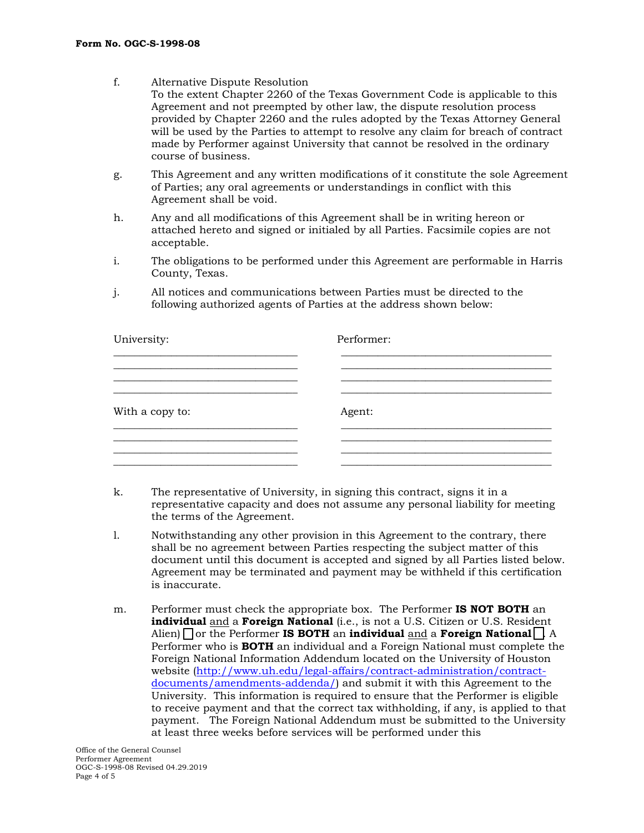- f. Alternative Dispute Resolution To the extent Chapter 2260 of the Texas Government Code is applicable to this Agreement and not preempted by other law, the dispute resolution process provided by Chapter 2260 and the rules adopted by the Texas Attorney General will be used by the Parties to attempt to resolve any claim for breach of contract made by Performer against University that cannot be resolved in the ordinary course of business.
- g. This Agreement and any written modifications of it constitute the sole Agreement of Parties; any oral agreements or understandings in conflict with this Agreement shall be void.
- h. Any and all modifications of this Agreement shall be in writing hereon or attached hereto and signed or initialed by all Parties. Facsimile copies are not acceptable.
- i. The obligations to be performed under this Agreement are performable in Harris County, Texas.
- j. All notices and communications between Parties must be directed to the following authorized agents of Parties at the address shown below:

| University:     | Performer: |
|-----------------|------------|
|                 |            |
|                 |            |
| With a copy to: | Agent:     |
|                 |            |
|                 |            |

- k. The representative of University, in signing this contract, signs it in a representative capacity and does not assume any personal liability for meeting the terms of the Agreement.
- l. Notwithstanding any other provision in this Agreement to the contrary, there shall be no agreement between Parties respecting the subject matter of this document until this document is accepted and signed by all Parties listed below. Agreement may be terminated and payment may be withheld if this certification is inaccurate.
- m. Performer must check the appropriate box. The Performer **IS NOT BOTH** an **individual** and a **Foreign National** (i.e., is not a U.S. Citizen or U.S. Resident Alien) or the Performer **IS BOTH** an **individual** and a **Foreign National** . A Performer who is **BOTH** an individual and a Foreign National must complete the Foreign National Information Addendum located on the University of Houston website [\(http://www.uh.edu/legal-affairs/contract-administration/contract](http://www.uh.edu/legal-affairs/contract-administration/contract-documents/amendments-addenda/)[documents/amendments-addenda/\)](http://www.uh.edu/legal-affairs/contract-administration/contract-documents/amendments-addenda/) and submit it with this Agreement to the University. This information is required to ensure that the Performer is eligible to receive payment and that the correct tax withholding, if any, is applied to that payment. The Foreign National Addendum must be submitted to the University at least three weeks before services will be performed under this